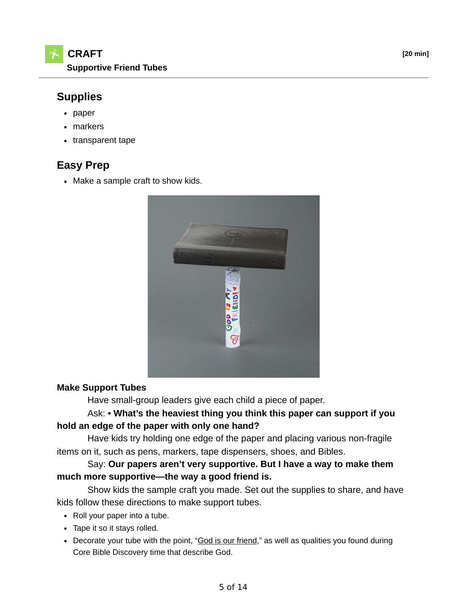## **Supplies**

- paper
- markers
- transparent tape

# **Easy Prep**

• Make a sample craft to show kids.



#### **Make Support Tubes**

Have small-group leaders give each child a piece of paper.

## Ask: **• What's the heaviest thing you think this paper can support if you hold an edge of the paper with only one hand?**

 Have kids try holding one edge of the paper and placing various non-fragile items on it, such as pens, markers, tape dispensers, shoes, and Bibles.

 Say: **Our papers aren't very supportive. But I have a way to make them much more supportive—the way a good friend is.**

 Show kids the sample craft you made. Set out the supplies to share, and have kids follow these directions to make support tubes.

- Roll your paper into a tube.
- Tape it so it stays rolled.
- Decorate your tube with the point, "God is our friend," as well as qualities you found during Core Bible Discovery time that describe God.